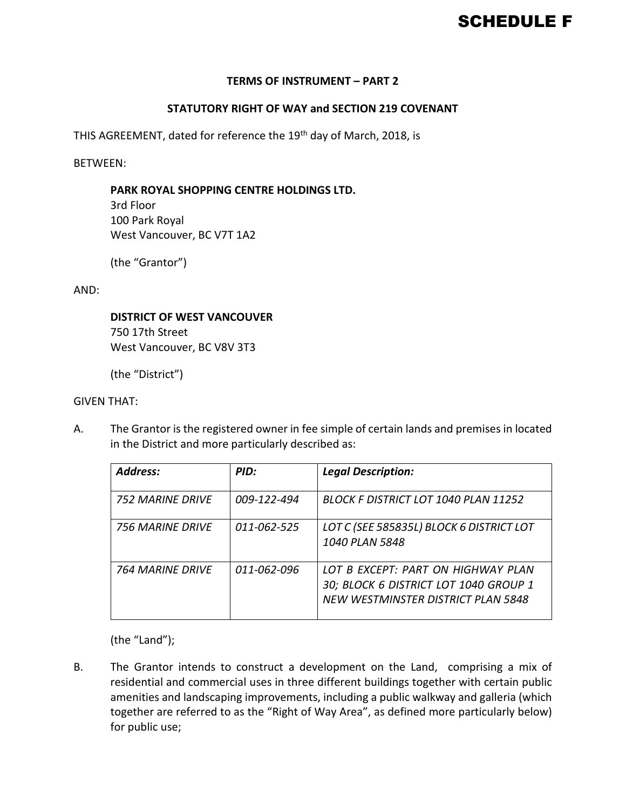# SCHEDULE F

## **TERMS OF INSTRUMENT – PART 2**

## **STATUTORY RIGHT OF WAY and SECTION 219 COVENANT**

THIS AGREEMENT, dated for reference the 19<sup>th</sup> day of March, 2018, is

BETWEEN:

#### **PARK ROYAL SHOPPING CENTRE HOLDINGS LTD.**

3rd Floor 100 Park Royal West Vancouver, BC V7T 1A2

(the "Grantor")

AND:

#### **DISTRICT OF WEST VANCOUVER**

750 17th Street West Vancouver, BC V8V 3T3

(the "District")

#### GIVEN THAT:

A. The Grantor is the registered owner in fee simple of certain lands and premises in located in the District and more particularly described as:

| <b>Address:</b>  | PID:        | <b>Legal Description:</b>                                                                                         |
|------------------|-------------|-------------------------------------------------------------------------------------------------------------------|
| 752 MARINF DRIVF | 009-122-494 | <b>BLOCK F DISTRICT LOT 1040 PLAN 11252</b>                                                                       |
| 756 MARINF DRIVF | 011-062-525 | LOT C (SEE 585835L) BLOCK 6 DISTRICT LOT<br>1040 PLAN 5848                                                        |
| 764 MARINF DRIVF | 011-062-096 | LOT B EXCEPT: PART ON HIGHWAY PLAN<br>30; BLOCK 6 DISTRICT LOT 1040 GROUP 1<br>NEW WESTMINSTER DISTRICT PLAN 5848 |

(the "Land");

B. The Grantor intends to construct a development on the Land, comprising a mix of residential and commercial uses in three different buildings together with certain public amenities and landscaping improvements, including a public walkway and galleria (which together are referred to as the "Right of Way Area", as defined more particularly below) for public use;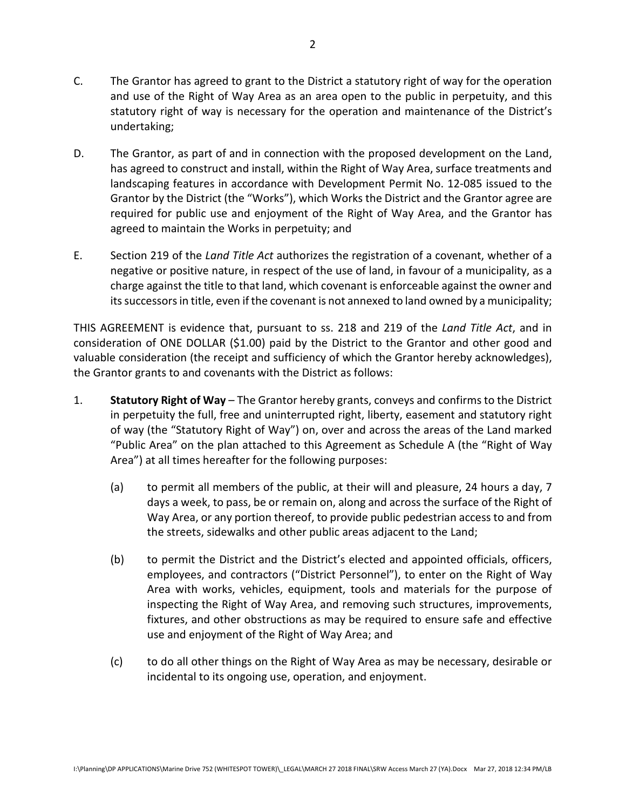- C. The Grantor has agreed to grant to the District a statutory right of way for the operation and use of the Right of Way Area as an area open to the public in perpetuity, and this statutory right of way is necessary for the operation and maintenance of the District's undertaking;
- D. The Grantor, as part of and in connection with the proposed development on the Land, has agreed to construct and install, within the Right of Way Area, surface treatments and landscaping features in accordance with Development Permit No. 12-085 issued to the Grantor by the District (the "Works"), which Works the District and the Grantor agree are required for public use and enjoyment of the Right of Way Area, and the Grantor has agreed to maintain the Works in perpetuity; and
- E. Section 219 of the *Land Title Act* authorizes the registration of a covenant, whether of a negative or positive nature, in respect of the use of land, in favour of a municipality, as a charge against the title to that land, which covenant is enforceable against the owner and its successors in title, even if the covenant is not annexed to land owned by a municipality;

THIS AGREEMENT is evidence that, pursuant to ss. 218 and 219 of the *Land Title Act*, and in consideration of ONE DOLLAR (\$1.00) paid by the District to the Grantor and other good and valuable consideration (the receipt and sufficiency of which the Grantor hereby acknowledges), the Grantor grants to and covenants with the District as follows:

- 1. **Statutory Right of Way** The Grantor hereby grants, conveys and confirms to the District in perpetuity the full, free and uninterrupted right, liberty, easement and statutory right of way (the "Statutory Right of Way") on, over and across the areas of the Land marked "Public Area" on the plan attached to this Agreement as Schedule A (the "Right of Way Area") at all times hereafter for the following purposes:
	- (a) to permit all members of the public, at their will and pleasure, 24 hours a day, 7 days a week, to pass, be or remain on, along and across the surface of the Right of Way Area, or any portion thereof, to provide public pedestrian access to and from the streets, sidewalks and other public areas adjacent to the Land;
	- (b) to permit the District and the District's elected and appointed officials, officers, employees, and contractors ("District Personnel"), to enter on the Right of Way Area with works, vehicles, equipment, tools and materials for the purpose of inspecting the Right of Way Area, and removing such structures, improvements, fixtures, and other obstructions as may be required to ensure safe and effective use and enjoyment of the Right of Way Area; and
	- (c) to do all other things on the Right of Way Area as may be necessary, desirable or incidental to its ongoing use, operation, and enjoyment.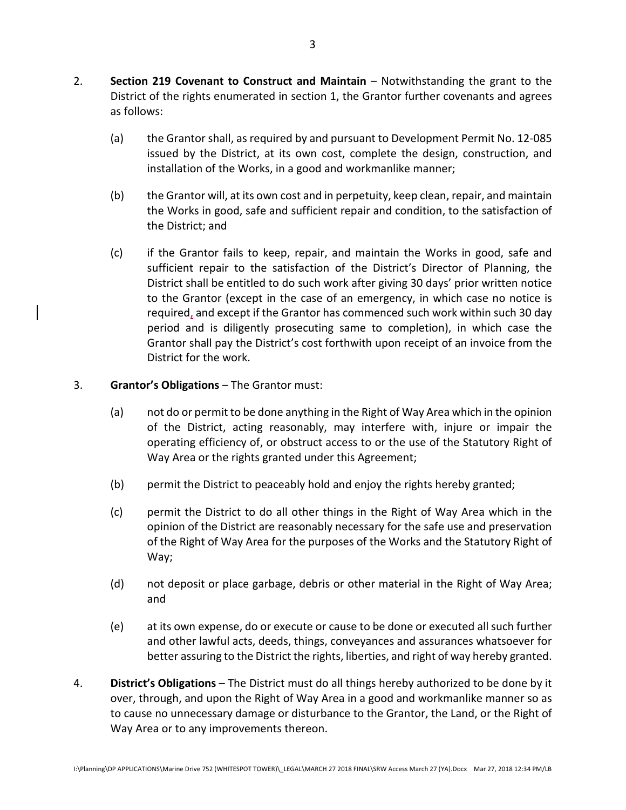- 2. **Section 219 Covenant to Construct and Maintain** Notwithstanding the grant to the District of the rights enumerated in section 1, the Grantor further covenants and agrees as follows:
	- (a) the Grantor shall, as required by and pursuant to Development Permit No. 12-085 issued by the District, at its own cost, complete the design, construction, and installation of the Works, in a good and workmanlike manner;
	- (b) the Grantor will, at its own cost and in perpetuity, keep clean, repair, and maintain the Works in good, safe and sufficient repair and condition, to the satisfaction of the District; and
	- (c) if the Grantor fails to keep, repair, and maintain the Works in good, safe and sufficient repair to the satisfaction of the District's Director of Planning, the District shall be entitled to do such work after giving 30 days' prior written notice to the Grantor (except in the case of an emergency, in which case no notice is required, and except if the Grantor has commenced such work within such 30 day period and is diligently prosecuting same to completion), in which case the Grantor shall pay the District's cost forthwith upon receipt of an invoice from the District for the work.

# 3. **Grantor's Obligations** – The Grantor must:

- (a) not do or permit to be done anything in the Right of Way Area which in the opinion of the District, acting reasonably, may interfere with, injure or impair the operating efficiency of, or obstruct access to or the use of the Statutory Right of Way Area or the rights granted under this Agreement;
- (b) permit the District to peaceably hold and enjoy the rights hereby granted;
- (c) permit the District to do all other things in the Right of Way Area which in the opinion of the District are reasonably necessary for the safe use and preservation of the Right of Way Area for the purposes of the Works and the Statutory Right of Way;
- (d) not deposit or place garbage, debris or other material in the Right of Way Area; and
- (e) at its own expense, do or execute or cause to be done or executed all such further and other lawful acts, deeds, things, conveyances and assurances whatsoever for better assuring to the District the rights, liberties, and right of way hereby granted.
- 4. **District's Obligations** The District must do all things hereby authorized to be done by it over, through, and upon the Right of Way Area in a good and workmanlike manner so as to cause no unnecessary damage or disturbance to the Grantor, the Land, or the Right of Way Area or to any improvements thereon.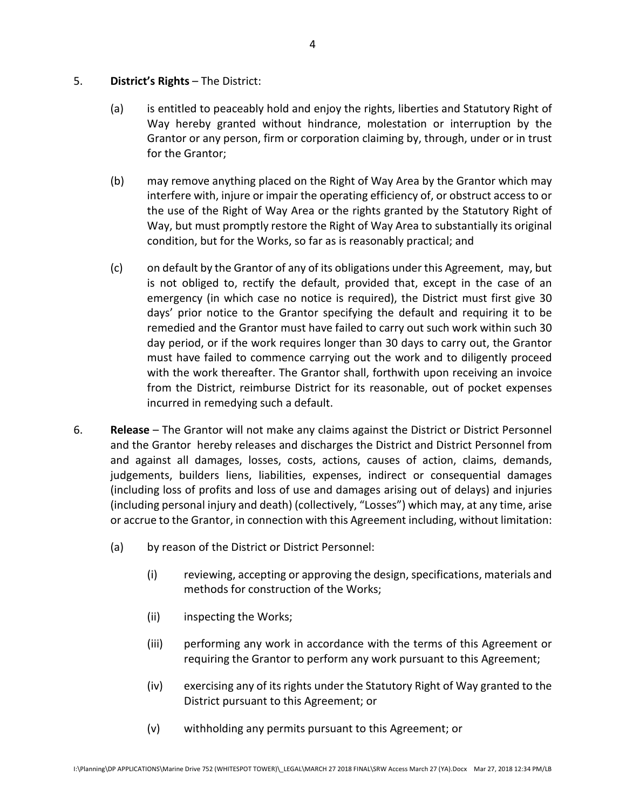- 5. **District's Rights** The District:
	- (a) is entitled to peaceably hold and enjoy the rights, liberties and Statutory Right of Way hereby granted without hindrance, molestation or interruption by the Grantor or any person, firm or corporation claiming by, through, under or in trust for the Grantor;
	- (b) may remove anything placed on the Right of Way Area by the Grantor which may interfere with, injure or impair the operating efficiency of, or obstruct access to or the use of the Right of Way Area or the rights granted by the Statutory Right of Way, but must promptly restore the Right of Way Area to substantially its original condition, but for the Works, so far as is reasonably practical; and
	- (c) on default by the Grantor of any of its obligations under this Agreement, may, but is not obliged to, rectify the default, provided that, except in the case of an emergency (in which case no notice is required), the District must first give 30 days' prior notice to the Grantor specifying the default and requiring it to be remedied and the Grantor must have failed to carry out such work within such 30 day period, or if the work requires longer than 30 days to carry out, the Grantor must have failed to commence carrying out the work and to diligently proceed with the work thereafter. The Grantor shall, forthwith upon receiving an invoice from the District, reimburse District for its reasonable, out of pocket expenses incurred in remedying such a default.
- 6. **Release** The Grantor will not make any claims against the District or District Personnel and the Grantor hereby releases and discharges the District and District Personnel from and against all damages, losses, costs, actions, causes of action, claims, demands, judgements, builders liens, liabilities, expenses, indirect or consequential damages (including loss of profits and loss of use and damages arising out of delays) and injuries (including personal injury and death) (collectively, "Losses") which may, at any time, arise or accrue to the Grantor, in connection with this Agreement including, without limitation:
	- (a) by reason of the District or District Personnel:
		- (i) reviewing, accepting or approving the design, specifications, materials and methods for construction of the Works;
		- (ii) inspecting the Works;
		- (iii) performing any work in accordance with the terms of this Agreement or requiring the Grantor to perform any work pursuant to this Agreement;
		- (iv) exercising any of its rights under the Statutory Right of Way granted to the District pursuant to this Agreement; or
		- (v) withholding any permits pursuant to this Agreement; or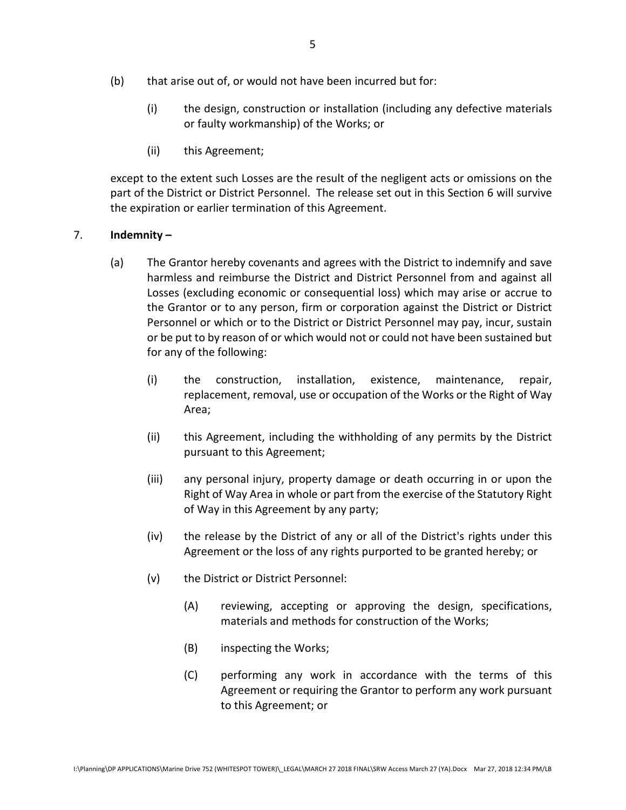- (b) that arise out of, or would not have been incurred but for:
	- (i) the design, construction or installation (including any defective materials or faulty workmanship) of the Works; or
	- (ii) this Agreement;

except to the extent such Losses are the result of the negligent acts or omissions on the part of the District or District Personnel. The release set out in this Section 6 will survive the expiration or earlier termination of this Agreement.

## 7. **Indemnity –**

- (a) The Grantor hereby covenants and agrees with the District to indemnify and save harmless and reimburse the District and District Personnel from and against all Losses (excluding economic or consequential loss) which may arise or accrue to the Grantor or to any person, firm or corporation against the District or District Personnel or which or to the District or District Personnel may pay, incur, sustain or be put to by reason of or which would not or could not have been sustained but for any of the following:
	- (i) the construction, installation, existence, maintenance, repair, replacement, removal, use or occupation of the Works or the Right of Way Area;
	- (ii) this Agreement, including the withholding of any permits by the District pursuant to this Agreement;
	- (iii) any personal injury, property damage or death occurring in or upon the Right of Way Area in whole or part from the exercise of the Statutory Right of Way in this Agreement by any party;
	- (iv) the release by the District of any or all of the District's rights under this Agreement or the loss of any rights purported to be granted hereby; or
	- (v) the District or District Personnel:
		- (A) reviewing, accepting or approving the design, specifications, materials and methods for construction of the Works;
		- (B) inspecting the Works;
		- (C) performing any work in accordance with the terms of this Agreement or requiring the Grantor to perform any work pursuant to this Agreement; or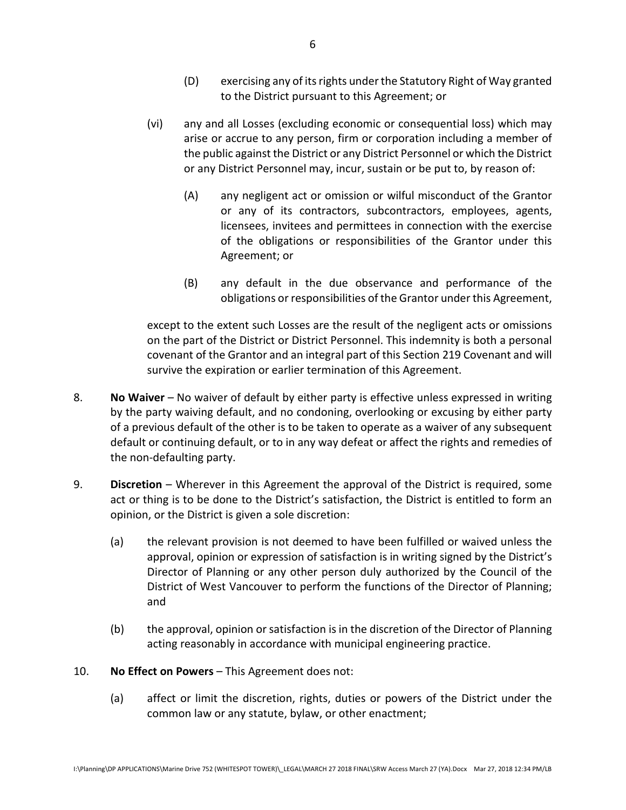- (D) exercising any of its rights under the Statutory Right of Way granted to the District pursuant to this Agreement; or
- (vi) any and all Losses (excluding economic or consequential loss) which may arise or accrue to any person, firm or corporation including a member of the public against the District or any District Personnel or which the District or any District Personnel may, incur, sustain or be put to, by reason of:
	- (A) any negligent act or omission or wilful misconduct of the Grantor or any of its contractors, subcontractors, employees, agents, licensees, invitees and permittees in connection with the exercise of the obligations or responsibilities of the Grantor under this Agreement; or
	- (B) any default in the due observance and performance of the obligations or responsibilities of the Grantor under this Agreement,

except to the extent such Losses are the result of the negligent acts or omissions on the part of the District or District Personnel. This indemnity is both a personal covenant of the Grantor and an integral part of this Section 219 Covenant and will survive the expiration or earlier termination of this Agreement.

- 8. **No Waiver** No waiver of default by either party is effective unless expressed in writing by the party waiving default, and no condoning, overlooking or excusing by either party of a previous default of the other is to be taken to operate as a waiver of any subsequent default or continuing default, or to in any way defeat or affect the rights and remedies of the non-defaulting party.
- 9. **Discretion** Wherever in this Agreement the approval of the District is required, some act or thing is to be done to the District's satisfaction, the District is entitled to form an opinion, or the District is given a sole discretion:
	- (a) the relevant provision is not deemed to have been fulfilled or waived unless the approval, opinion or expression of satisfaction is in writing signed by the District's Director of Planning or any other person duly authorized by the Council of the District of West Vancouver to perform the functions of the Director of Planning; and
	- (b) the approval, opinion or satisfaction is in the discretion of the Director of Planning acting reasonably in accordance with municipal engineering practice.
- 10. **No Effect on Powers** This Agreement does not:
	- (a) affect or limit the discretion, rights, duties or powers of the District under the common law or any statute, bylaw, or other enactment;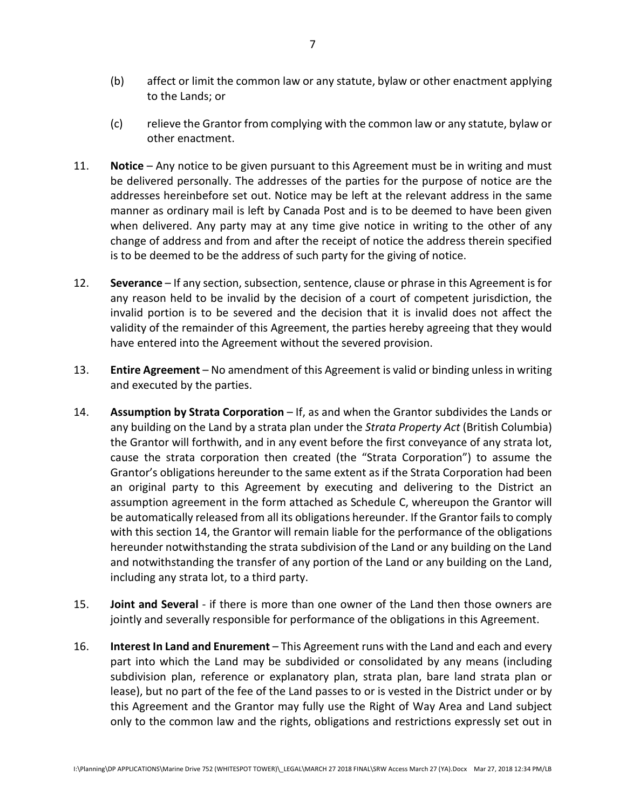- (b) affect or limit the common law or any statute, bylaw or other enactment applying to the Lands; or
- (c) relieve the Grantor from complying with the common law or any statute, bylaw or other enactment.
- 11. **Notice** Any notice to be given pursuant to this Agreement must be in writing and must be delivered personally. The addresses of the parties for the purpose of notice are the addresses hereinbefore set out. Notice may be left at the relevant address in the same manner as ordinary mail is left by Canada Post and is to be deemed to have been given when delivered. Any party may at any time give notice in writing to the other of any change of address and from and after the receipt of notice the address therein specified is to be deemed to be the address of such party for the giving of notice.
- 12. **Severance** If any section, subsection, sentence, clause or phrase in this Agreement is for any reason held to be invalid by the decision of a court of competent jurisdiction, the invalid portion is to be severed and the decision that it is invalid does not affect the validity of the remainder of this Agreement, the parties hereby agreeing that they would have entered into the Agreement without the severed provision.
- 13. **Entire Agreement** No amendment of this Agreement is valid or binding unless in writing and executed by the parties.
- 14. **Assumption by Strata Corporation** If, as and when the Grantor subdivides the Lands or any building on the Land by a strata plan under the *Strata Property Act* (British Columbia) the Grantor will forthwith, and in any event before the first conveyance of any strata lot, cause the strata corporation then created (the "Strata Corporation") to assume the Grantor's obligations hereunder to the same extent as if the Strata Corporation had been an original party to this Agreement by executing and delivering to the District an assumption agreement in the form attached as Schedule C, whereupon the Grantor will be automatically released from all its obligations hereunder. If the Grantor fails to comply with this section 14, the Grantor will remain liable for the performance of the obligations hereunder notwithstanding the strata subdivision of the Land or any building on the Land and notwithstanding the transfer of any portion of the Land or any building on the Land, including any strata lot, to a third party.
- 15. **Joint and Several** if there is more than one owner of the Land then those owners are jointly and severally responsible for performance of the obligations in this Agreement.
- 16. **Interest In Land and Enurement** This Agreement runs with the Land and each and every part into which the Land may be subdivided or consolidated by any means (including subdivision plan, reference or explanatory plan, strata plan, bare land strata plan or lease), but no part of the fee of the Land passes to or is vested in the District under or by this Agreement and the Grantor may fully use the Right of Way Area and Land subject only to the common law and the rights, obligations and restrictions expressly set out in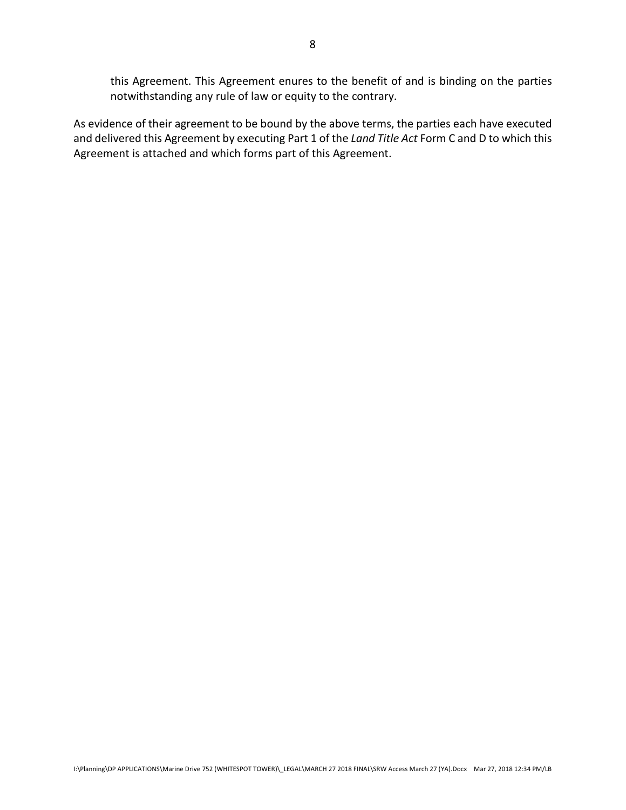this Agreement. This Agreement enures to the benefit of and is binding on the parties notwithstanding any rule of law or equity to the contrary.

As evidence of their agreement to be bound by the above terms, the parties each have executed and delivered this Agreement by executing Part 1 of the *Land Title Act* Form C and D to which this Agreement is attached and which forms part of this Agreement.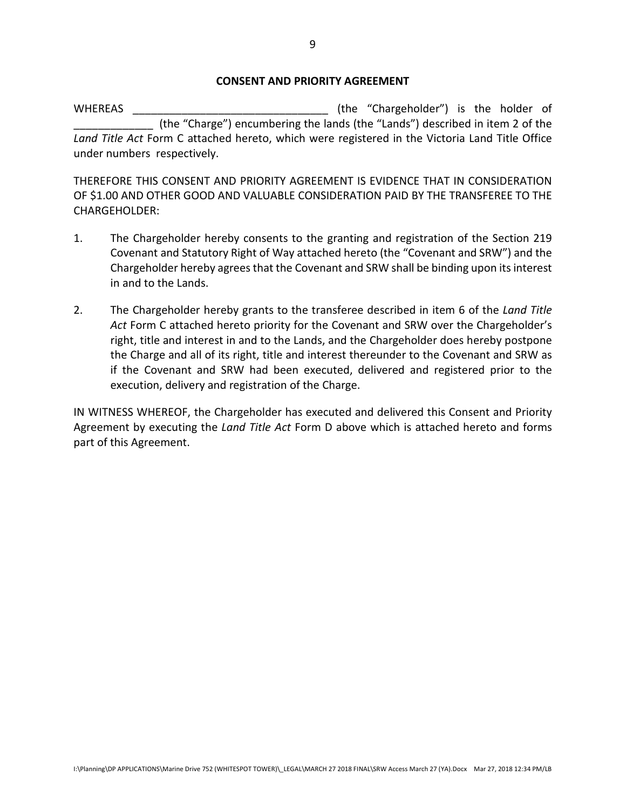#### **CONSENT AND PRIORITY AGREEMENT**

WHEREAS \_\_\_\_\_\_\_\_\_\_\_\_\_\_\_\_\_\_\_\_\_\_\_\_\_\_\_\_\_\_\_\_ (the "Chargeholder") is the holder of \_\_\_\_\_\_\_\_\_\_\_\_\_ (the "Charge") encumbering the lands (the "Lands") described in item 2 of the *Land Title Act* Form C attached hereto, which were registered in the Victoria Land Title Office under numbers respectively.

THEREFORE THIS CONSENT AND PRIORITY AGREEMENT IS EVIDENCE THAT IN CONSIDERATION OF \$1.00 AND OTHER GOOD AND VALUABLE CONSIDERATION PAID BY THE TRANSFEREE TO THE CHARGEHOLDER:

- 1. The Chargeholder hereby consents to the granting and registration of the Section 219 Covenant and Statutory Right of Way attached hereto (the "Covenant and SRW") and the Chargeholder hereby agrees that the Covenant and SRW shall be binding upon its interest in and to the Lands.
- 2. The Chargeholder hereby grants to the transferee described in item 6 of the *Land Title Act* Form C attached hereto priority for the Covenant and SRW over the Chargeholder's right, title and interest in and to the Lands, and the Chargeholder does hereby postpone the Charge and all of its right, title and interest thereunder to the Covenant and SRW as if the Covenant and SRW had been executed, delivered and registered prior to the execution, delivery and registration of the Charge.

IN WITNESS WHEREOF, the Chargeholder has executed and delivered this Consent and Priority Agreement by executing the *Land Title Act* Form D above which is attached hereto and forms part of this Agreement.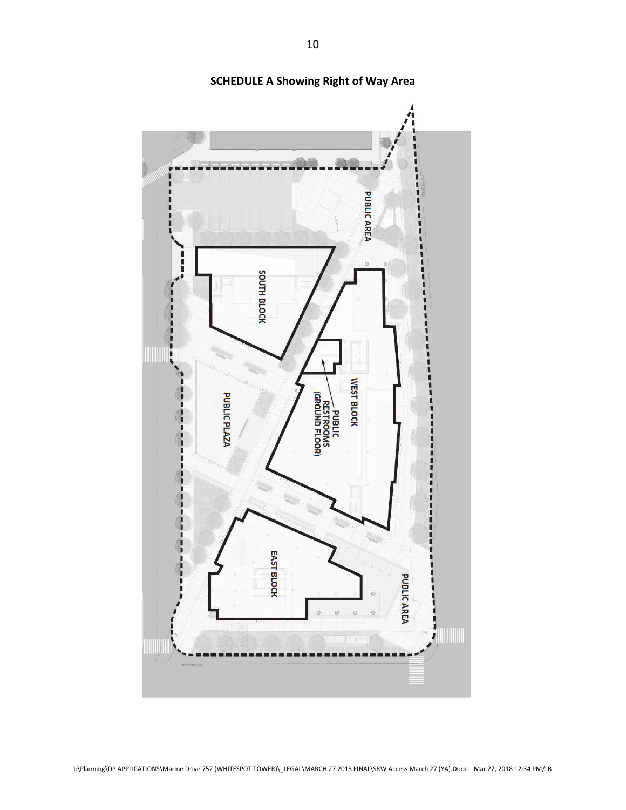

**SCHEDULE A Showing Right of Way Area**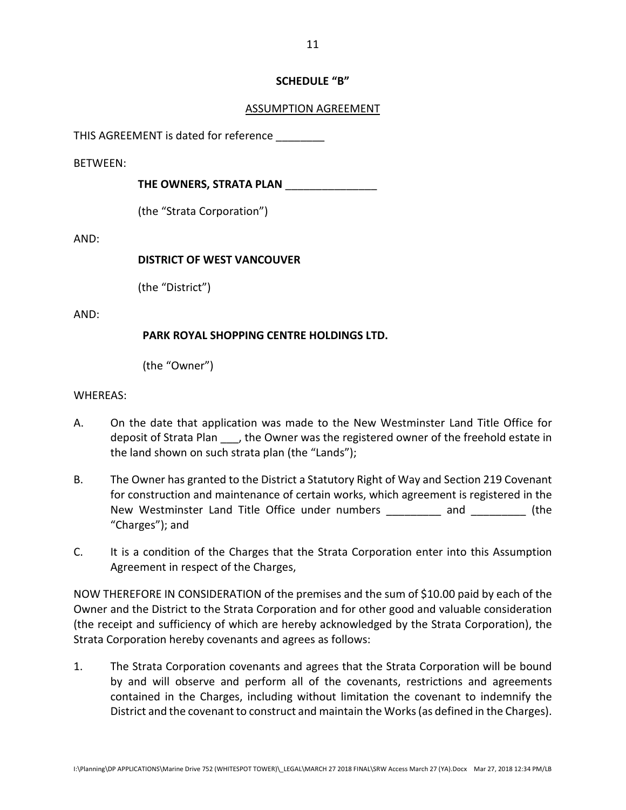# **SCHEDULE "B"**

# ASSUMPTION AGREEMENT

THIS AGREEMENT is dated for reference

BETWEEN:

**THE OWNERS, STRATA PLAN** \_\_\_\_\_\_\_\_\_\_\_\_\_\_\_

(the "Strata Corporation")

AND:

## **DISTRICT OF WEST VANCOUVER**

(the "District")

AND:

# **PARK ROYAL SHOPPING CENTRE HOLDINGS LTD.**

(the "Owner")

## WHEREAS:

- A. On the date that application was made to the New Westminster Land Title Office for deposit of Strata Plan \_\_\_, the Owner was the registered owner of the freehold estate in the land shown on such strata plan (the "Lands");
- B. The Owner has granted to the District a Statutory Right of Way and Section 219 Covenant for construction and maintenance of certain works, which agreement is registered in the New Westminster Land Title Office under numbers and and  $(the$ "Charges"); and
- C. It is a condition of the Charges that the Strata Corporation enter into this Assumption Agreement in respect of the Charges,

NOW THEREFORE IN CONSIDERATION of the premises and the sum of \$10.00 paid by each of the Owner and the District to the Strata Corporation and for other good and valuable consideration (the receipt and sufficiency of which are hereby acknowledged by the Strata Corporation), the Strata Corporation hereby covenants and agrees as follows:

1. The Strata Corporation covenants and agrees that the Strata Corporation will be bound by and will observe and perform all of the covenants, restrictions and agreements contained in the Charges, including without limitation the covenant to indemnify the District and the covenant to construct and maintain the Works(as defined in the Charges).